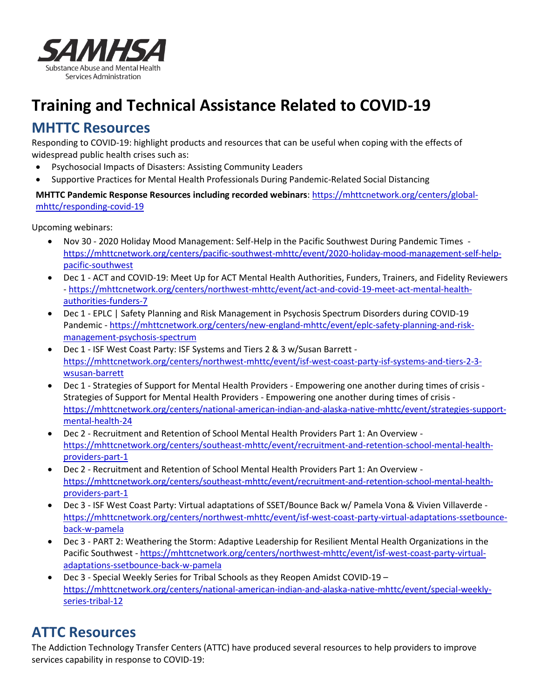

# **Training and Technical Assistance Related to COVID-19**

# **MHTTC Resources**

Responding to COVID-19: highlight products and resources that can be useful when coping with the effects of widespread public health crises such as:

- Psychosocial Impacts of Disasters: Assisting Community Leaders
- Supportive Practices for Mental Health Professionals During Pandemic-Related Social Distancing

**MHTTC Pandemic Response Resources including recorded webinars**: [https://mhttcnetwork.org/centers/global](https://mhttcnetwork.org/centers/global-mhttc/responding-covid-19)[mhttc/responding-covid-19](https://mhttcnetwork.org/centers/global-mhttc/responding-covid-19)

Upcoming webinars:

- Nov 30 2020 Holiday Mood Management: Self-Help in the Pacific Southwest During Pandemic Times [https://mhttcnetwork.org/centers/pacific-southwest-mhttc/event/2020-holiday-mood-management-self-help](https://mhttcnetwork.org/centers/pacific-southwest-mhttc/event/2020-holiday-mood-management-self-help-pacific-southwest)[pacific-southwest](https://mhttcnetwork.org/centers/pacific-southwest-mhttc/event/2020-holiday-mood-management-self-help-pacific-southwest)
- Dec 1 ACT and COVID-19: Meet Up for ACT Mental Health Authorities, Funders, Trainers, and Fidelity Reviewers - [https://mhttcnetwork.org/centers/northwest-mhttc/event/act-and-covid-19-meet-act-mental-health](https://mhttcnetwork.org/centers/northwest-mhttc/event/act-and-covid-19-meet-act-mental-health-authorities-funders-7)[authorities-funders-7](https://mhttcnetwork.org/centers/northwest-mhttc/event/act-and-covid-19-meet-act-mental-health-authorities-funders-7)
- Dec 1 EPLC | Safety Planning and Risk Management in Psychosis Spectrum Disorders during COVID-19 Pandemic - [https://mhttcnetwork.org/centers/new-england-mhttc/event/eplc-safety-planning-and-risk](https://mhttcnetwork.org/centers/new-england-mhttc/event/eplc-safety-planning-and-risk-management-psychosis-spectrum)[management-psychosis-spectrum](https://mhttcnetwork.org/centers/new-england-mhttc/event/eplc-safety-planning-and-risk-management-psychosis-spectrum)
- Dec 1 ISF West Coast Party: ISF Systems and Tiers 2 & 3 w/Susan Barrett [https://mhttcnetwork.org/centers/northwest-mhttc/event/isf-west-coast-party-isf-systems-and-tiers-2-3](https://mhttcnetwork.org/centers/northwest-mhttc/event/isf-west-coast-party-isf-systems-and-tiers-2-3-wsusan-barrett) [wsusan-barrett](https://mhttcnetwork.org/centers/northwest-mhttc/event/isf-west-coast-party-isf-systems-and-tiers-2-3-wsusan-barrett)
- Dec 1 Strategies of Support for Mental Health Providers Empowering one another during times of crisis Strategies of Support for Mental Health Providers - Empowering one another during times of crisis [https://mhttcnetwork.org/centers/national-american-indian-and-alaska-native-mhttc/event/strategies-support](https://mhttcnetwork.org/centers/national-american-indian-and-alaska-native-mhttc/event/strategies-support-mental-health-24)[mental-health-24](https://mhttcnetwork.org/centers/national-american-indian-and-alaska-native-mhttc/event/strategies-support-mental-health-24)
- Dec 2 Recruitment and Retention of School Mental Health Providers Part 1: An Overview [https://mhttcnetwork.org/centers/southeast-mhttc/event/recruitment-and-retention-school-mental-health](https://mhttcnetwork.org/centers/southeast-mhttc/event/recruitment-and-retention-school-mental-health-providers-part-1)[providers-part-1](https://mhttcnetwork.org/centers/southeast-mhttc/event/recruitment-and-retention-school-mental-health-providers-part-1)
- Dec 2 Recruitment and Retention of School Mental Health Providers Part 1: An Overview [https://mhttcnetwork.org/centers/southeast-mhttc/event/recruitment-and-retention-school-mental-health](https://mhttcnetwork.org/centers/southeast-mhttc/event/recruitment-and-retention-school-mental-health-providers-part-1)[providers-part-1](https://mhttcnetwork.org/centers/southeast-mhttc/event/recruitment-and-retention-school-mental-health-providers-part-1)
- Dec 3 ISF West Coast Party: Virtual adaptations of SSET/Bounce Back w/ Pamela Vona & Vivien Villaverde [https://mhttcnetwork.org/centers/northwest-mhttc/event/isf-west-coast-party-virtual-adaptations-ssetbounce](https://mhttcnetwork.org/centers/northwest-mhttc/event/isf-west-coast-party-virtual-adaptations-ssetbounce-back-w-pamela)[back-w-pamela](https://mhttcnetwork.org/centers/northwest-mhttc/event/isf-west-coast-party-virtual-adaptations-ssetbounce-back-w-pamela)
- Dec 3 PART 2: Weathering the Storm: Adaptive Leadership for Resilient Mental Health Organizations in the Pacific Southwest - [https://mhttcnetwork.org/centers/northwest-mhttc/event/isf-west-coast-party-virtual](https://mhttcnetwork.org/centers/northwest-mhttc/event/isf-west-coast-party-virtual-adaptations-ssetbounce-back-w-pamela)[adaptations-ssetbounce-back-w-pamela](https://mhttcnetwork.org/centers/northwest-mhttc/event/isf-west-coast-party-virtual-adaptations-ssetbounce-back-w-pamela)
- Dec 3 Special Weekly Series for Tribal Schools as they Reopen Amidst COVID-19 [https://mhttcnetwork.org/centers/national-american-indian-and-alaska-native-mhttc/event/special-weekly](https://mhttcnetwork.org/centers/national-american-indian-and-alaska-native-mhttc/event/special-weekly-series-tribal-12)[series-tribal-12](https://mhttcnetwork.org/centers/national-american-indian-and-alaska-native-mhttc/event/special-weekly-series-tribal-12)

# **ATTC Resources**

The Addiction Technology Transfer Centers (ATTC) have produced several resources to help providers to improve services capability in response to COVID-19: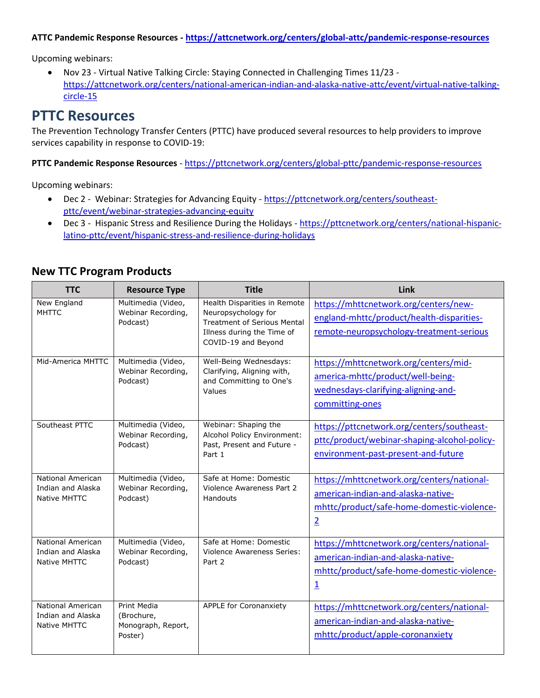#### **ATTC Pandemic Response Resources - <https://attcnetwork.org/centers/global-attc/pandemic-response-resources>**

Upcoming webinars:

 Nov 23 - Virtual Native Talking Circle: Staying Connected in Challenging Times 11/23 [https://attcnetwork.org/centers/national-american-indian-and-alaska-native-attc/event/virtual-native-talking](https://attcnetwork.org/centers/national-american-indian-and-alaska-native-attc/event/virtual-native-talking-circle-15)[circle-15](https://attcnetwork.org/centers/national-american-indian-and-alaska-native-attc/event/virtual-native-talking-circle-15)

### **PTTC Resources**

The Prevention Technology Transfer Centers (PTTC) have produced several resources to help providers to improve services capability in response to COVID-19:

**PTTC Pandemic Response Resources** - <https://pttcnetwork.org/centers/global-pttc/pandemic-response-resources>

Upcoming webinars:

- Dec 2 Webinar: Strategies for Advancing Equity [https://pttcnetwork.org/centers/southeast](https://pttcnetwork.org/centers/southeast-pttc/event/webinar-strategies-advancing-equity)[pttc/event/webinar-strategies-advancing-equity](https://pttcnetwork.org/centers/southeast-pttc/event/webinar-strategies-advancing-equity)
- Dec 3 Hispanic Stress and Resilience During the Holidays [https://pttcnetwork.org/centers/national-hispanic](https://pttcnetwork.org/centers/national-hispanic-latino-pttc/event/hispanic-stress-and-resilience-during-holidays)[latino-pttc/event/hispanic-stress-and-resilience-during-holidays](https://pttcnetwork.org/centers/national-hispanic-latino-pttc/event/hispanic-stress-and-resilience-during-holidays)

| <b>TTC</b>                                                    | <b>Resource Type</b>                                       | <b>Title</b>                                                                                                                                   | Link                                                                                                                                                      |
|---------------------------------------------------------------|------------------------------------------------------------|------------------------------------------------------------------------------------------------------------------------------------------------|-----------------------------------------------------------------------------------------------------------------------------------------------------------|
| New England<br><b>MHTTC</b>                                   | Multimedia (Video,<br>Webinar Recording,<br>Podcast)       | Health Disparities in Remote<br>Neuropsychology for<br><b>Treatment of Serious Mental</b><br>Illness during the Time of<br>COVID-19 and Beyond | https://mhttcnetwork.org/centers/new-<br>england-mhttc/product/health-disparities-<br>remote-neuropsychology-treatment-serious                            |
| Mid-America MHTTC                                             | Multimedia (Video,<br>Webinar Recording,<br>Podcast)       | Well-Being Wednesdays:<br>Clarifying, Aligning with,<br>and Committing to One's<br>Values                                                      | https://mhttcnetwork.org/centers/mid-<br>america-mhttc/product/well-being-<br>wednesdays-clarifying-aligning-and-<br>committing-ones                      |
| Southeast PTTC                                                | Multimedia (Video,<br>Webinar Recording,<br>Podcast)       | Webinar: Shaping the<br>Alcohol Policy Environment:<br>Past, Present and Future -<br>Part 1                                                    | https://pttcnetwork.org/centers/southeast-<br>pttc/product/webinar-shaping-alcohol-policy-<br>environment-past-present-and-future                         |
| <b>National American</b><br>Indian and Alaska<br>Native MHTTC | Multimedia (Video,<br>Webinar Recording,<br>Podcast)       | Safe at Home: Domestic<br>Violence Awareness Part 2<br>Handouts                                                                                | https://mhttcnetwork.org/centers/national-<br>american-indian-and-alaska-native-<br>mhttc/product/safe-home-domestic-violence-<br>$\overline{2}$          |
| National American<br>Indian and Alaska<br>Native MHTTC        | Multimedia (Video,<br>Webinar Recording,<br>Podcast)       | Safe at Home: Domestic<br><b>Violence Awareness Series:</b><br>Part 2                                                                          | https://mhttcnetwork.org/centers/national-<br>american-indian-and-alaska-native-<br>mhttc/product/safe-home-domestic-violence-<br>$\overline{\mathbf{1}}$ |
| National American<br>Indian and Alaska<br>Native MHTTC        | Print Media<br>(Brochure,<br>Monograph, Report,<br>Poster) | <b>APPLE for Coronanxiety</b>                                                                                                                  | https://mhttcnetwork.org/centers/national-<br>american-indian-and-alaska-native-<br>mhttc/product/apple-coronanxiety                                      |

#### **New TTC Program Products**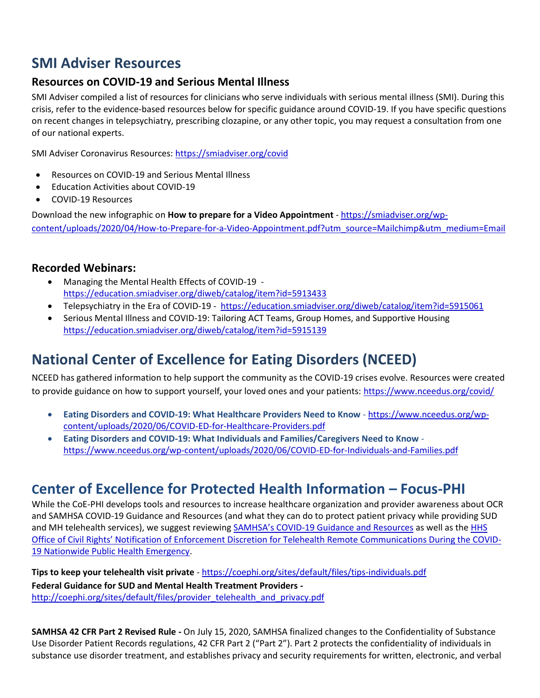# **SMI Adviser Resources**

### **Resources on COVID-19 and Serious Mental Illness**

SMI Adviser compiled a list of resources for clinicians who serve individuals with serious mental illness (SMI). During this crisis, refer to the evidence-based resources below for specific guidance around COVID-19. If you have specific questions on recent changes in telepsychiatry, prescribing clozapine, or any other topic, you may request a consultation from one of our national experts.

SMI Adviser Coronavirus Resources[: https://smiadviser.org/covid](https://smiadviser.org/covid)

- Resources on COVID-19 and Serious Mental Illness
- Education Activities about COVID-19
- COVID-19 Resources

Download the new infographic on **How to prepare for a Video Appointment** - [https://smiadviser.org/wp](https://smiadviser.org/wp-content/uploads/2020/04/How-to-Prepare-for-a-Video-Appointment.pdf?utm_source=Mailchimp&utm_medium=Email)[content/uploads/2020/04/How-to-Prepare-for-a-Video-Appointment.pdf?utm\\_source=Mailchimp&utm\\_medium=Email](https://smiadviser.org/wp-content/uploads/2020/04/How-to-Prepare-for-a-Video-Appointment.pdf?utm_source=Mailchimp&utm_medium=Email)

#### **Recorded Webinars:**

- Managing the Mental Health Effects of COVID-19 <https://education.smiadviser.org/diweb/catalog/item?id=5913433>
- Telepsychiatry in the Era of COVID-19 <https://education.smiadviser.org/diweb/catalog/item?id=5915061>
- Serious Mental Illness and COVID-19: Tailoring ACT Teams, Group Homes, and Supportive Housing <https://education.smiadviser.org/diweb/catalog/item?id=5915139>

# **National Center of Excellence for Eating Disorders (NCEED)**

NCEED has gathered information to help support the community as the COVID-19 crises evolve. Resources were created to provide guidance on how to support yourself, your loved ones and your patients: <https://www.nceedus.org/covid/>

- **Eating Disorders and COVID-19: What Healthcare Providers Need to Know** [https://www.nceedus.org/wp](https://www.nceedus.org/wp-content/uploads/2020/06/COVID-ED-for-Healthcare-Providers.pdf)[content/uploads/2020/06/COVID-ED-for-Healthcare-Providers.pdf](https://www.nceedus.org/wp-content/uploads/2020/06/COVID-ED-for-Healthcare-Providers.pdf)
- **Eating Disorders and COVID-19: What Individuals and Families/Caregivers Need to Know** <https://www.nceedus.org/wp-content/uploads/2020/06/COVID-ED-for-Individuals-and-Families.pdf>

# **Center of Excellence for Protected Health Information – Focus-PHI**

While the CoE-PHI develops tools and resources to increase healthcare organization and provider awareness about OCR and SAMHSA COVID-19 Guidance and Resources (and what they can do to protect patient privacy while providing SUD and MH telehealth services), we suggest reviewing SAMHSA's COVID[-19 Guidance and Resources](https://www.samhsa.gov/coronavirus) as well as the [HHS](https://www.hhs.gov/about/news/2020/03/17/ocr-announces-notification-of-enforcement-discretion-for-telehealth-remote-communications-during-the-covid-19.html)  Office of Civil Rights' [Notification of Enforcement Discretion for Telehealth Remote Communications During the COVID-](https://www.hhs.gov/about/news/2020/03/17/ocr-announces-notification-of-enforcement-discretion-for-telehealth-remote-communications-during-the-covid-19.html)[19 Nationwide Public Health Emergency.](https://www.hhs.gov/about/news/2020/03/17/ocr-announces-notification-of-enforcement-discretion-for-telehealth-remote-communications-during-the-covid-19.html)

**Tips to keep your telehealth visit private** - <https://coephi.org/sites/default/files/tips-individuals.pdf> **Federal Guidance for SUD and Mental Health Treatment Providers**  [http://coephi.org/sites/default/files/provider\\_telehealth\\_and\\_privacy.pdf](http://coephi.org/sites/default/files/provider_telehealth_and_privacy.pdf)

**SAMHSA 42 CFR Part 2 Revised Rule -** On July 15, 2020, SAMHSA finalized changes to the Confidentiality of Substance Use Disorder Patient Records regulations, 42 CFR Part 2 ("Part 2"). Part 2 protects the confidentiality of individuals in substance use disorder treatment, and establishes privacy and security requirements for written, electronic, and verbal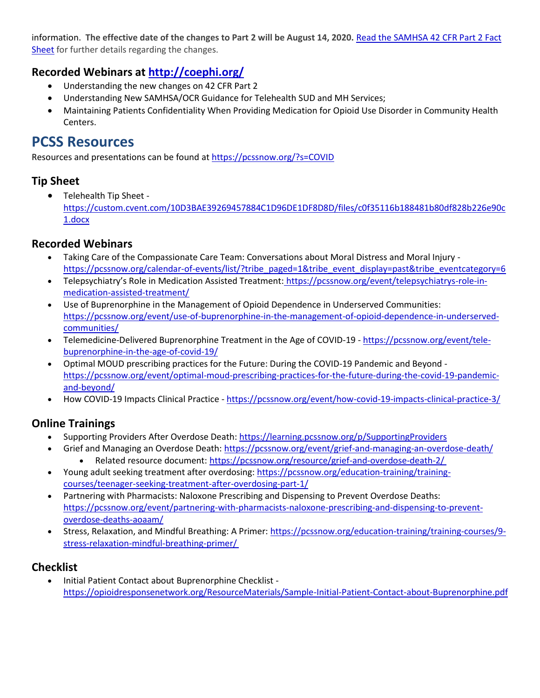information. **The effective date of the changes to Part 2 will be August 14, 2020.** [Read the SAMHSA 42 CFR Part 2 Fact](https://coephi.org/sites/default/files/SAMHSA%2042%20CRF%20Part%202%20Revised%20Rule.pdf)  [Sheet](https://coephi.org/sites/default/files/SAMHSA%2042%20CRF%20Part%202%20Revised%20Rule.pdf) for further details regarding the changes.

### **Recorded Webinars at<http://coephi.org/>**

- Understanding the new changes on 42 CFR Part 2
- Understanding New SAMHSA/OCR Guidance for Telehealth SUD and MH Services;
- Maintaining Patients Confidentiality When Providing Medication for Opioid Use Disorder in Community Health Centers.

# **PCSS Resources**

Resources and presentations can be found at <https://pcssnow.org/?s=COVID>

### **Tip Sheet**

 Telehealth Tip Sheet [https://custom.cvent.com/10D3BAE39269457884C1D96DE1DF8D8D/files/c0f35116b188481b80df828b226e90c](https://custom.cvent.com/10D3BAE39269457884C1D96DE1DF8D8D/files/c0f35116b188481b80df828b226e90c1.docx) [1.docx](https://custom.cvent.com/10D3BAE39269457884C1D96DE1DF8D8D/files/c0f35116b188481b80df828b226e90c1.docx)

### **Recorded Webinars**

- Taking Care of the Compassionate Care Team: Conversations about Moral Distress and Moral Injury [https://pcssnow.org/calendar-of-events/list/?tribe\\_paged=1&tribe\\_event\\_display=past&tribe\\_eventcategory=6](https://pcssnow.org/calendar-of-events/list/?tribe_paged=1&tribe_event_display=past&tribe_eventcategory=6)
- Telepsychiatry's Role in Medication Assisted Treatment: [https://pcssnow.org/event/telepsychiatrys-role-in](https://pcssnow.org/event/telepsychiatrys-role-in-medication-assisted-treatment/)[medication-assisted-treatment/](https://pcssnow.org/event/telepsychiatrys-role-in-medication-assisted-treatment/)
- Use of Buprenorphine in the Management of Opioid Dependence in Underserved Communities[:](https://pcssnow.org/event/use-of-buprenorphine-in-the-management-of-opioid-dependence-in-underserved-communities/) [https://pcssnow.org/event/use-of-buprenorphine-in-the-management-of-opioid-dependence-in-underserved](https://pcssnow.org/event/use-of-buprenorphine-in-the-management-of-opioid-dependence-in-underserved-communities/)[communities/](https://pcssnow.org/event/use-of-buprenorphine-in-the-management-of-opioid-dependence-in-underserved-communities/)
- Telemedicine-Delivered Buprenorphine Treatment in the Age of COVID-19 [https://pcssnow.org/event/tele](https://pcssnow.org/event/tele-buprenorphine-in-the-age-of-covid-19/)[buprenorphine-in-the-age-of-covid-19/](https://pcssnow.org/event/tele-buprenorphine-in-the-age-of-covid-19/)
- Optimal MOUD prescribing practices for the Future: During the COVID-19 Pandemic and Beyond [https://pcssnow.org/event/optimal-moud-prescribing-practices-for-the-future-during-the-covid-19-pandemic](https://pcssnow.org/event/optimal-moud-prescribing-practices-for-the-future-during-the-covid-19-pandemic-and-beyond/)[and-beyond/](https://pcssnow.org/event/optimal-moud-prescribing-practices-for-the-future-during-the-covid-19-pandemic-and-beyond/)
- How COVID-19 Impacts Clinical Practice <https://pcssnow.org/event/how-covid-19-impacts-clinical-practice-3/>

### **Online Trainings**

- Supporting Providers After Overdose Death:<https://learning.pcssnow.org/p/SupportingProviders>
	- Grief and Managing an Overdose Death:<https://pcssnow.org/event/grief-and-managing-an-overdose-death/> Related resource document:<https://pcssnow.org/resource/grief-and-overdose-death-2/>
- Young adult seeking treatment after overdosing: [https://pcssnow.org/education-training/training](https://pcssnow.org/education-training/training-courses/teenager-seeking-treatment-after-overdosing-part-1/)[courses/teenager-seeking-treatment-after-overdosing-part-1/](https://pcssnow.org/education-training/training-courses/teenager-seeking-treatment-after-overdosing-part-1/)
- Partnering with Pharmacists: Naloxone Prescribing and Dispensing to Prevent Overdose Deaths: [https://pcssnow.org/event/partnering-with-pharmacists-naloxone-prescribing-and-dispensing-to-prevent](https://pcssnow.org/event/partnering-with-pharmacists-naloxone-prescribing-and-dispensing-to-prevent-overdose-deaths-aoaam/)[overdose-deaths-aoaam/](https://pcssnow.org/event/partnering-with-pharmacists-naloxone-prescribing-and-dispensing-to-prevent-overdose-deaths-aoaam/)
- Stress, Relaxation, and Mindful Breathing: A Primer[: https://pcssnow.org/education-training/training-courses/9](https://pcssnow.org/education-training/training-courses/9-stress-relaxation-mindful-breathing-primer/) [stress-relaxation-mindful-breathing-primer/](https://pcssnow.org/education-training/training-courses/9-stress-relaxation-mindful-breathing-primer/)

### **Checklist**

 Initial Patient Contact about Buprenorphine Checklist  <https://opioidresponsenetwork.org/ResourceMaterials/Sample-Initial-Patient-Contact-about-Buprenorphine.pdf>